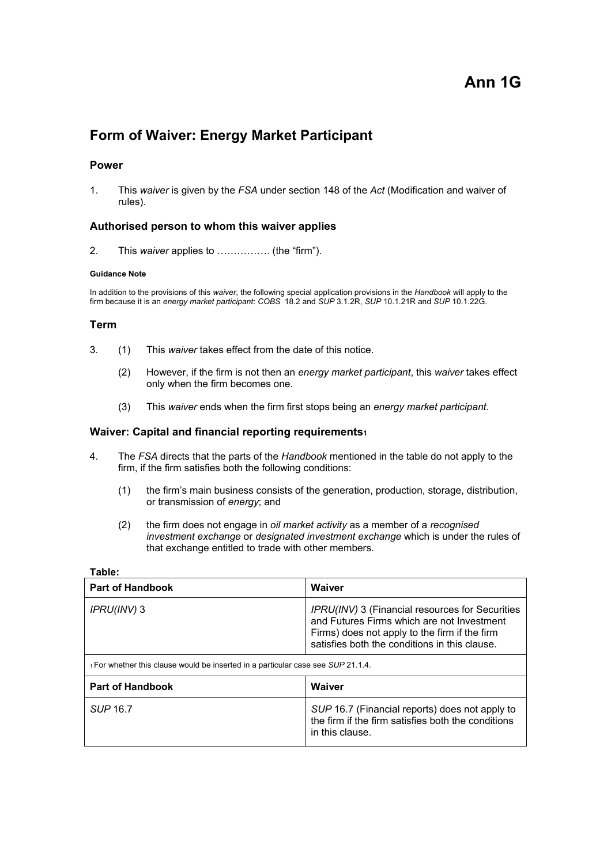# **Ann 1G**

## **Form of Waiver: Energy Market Participant**

## **Power**

1. This *waiver* is given by the *FSA* under section 148 of the *Act* (Modification and waiver of rules).

## **Authorised person to whom this waiver applies**

2. This *waiver* applies to ……………. (the "firm").

#### **Guidance Note**

In addition to the provisions of this *waiver*, the following special application provisions in the *Handbook* will apply to the firm because it is an *energy market participant*: *COBS* 18.2 and *SUP* 3.1.2R, *SUP* 10.1.21R and *SUP* 10.1.22G.

## **Term**

- 3. (1) This *waiver* takes effect from the date of this notice.
	- (2) However, if the firm is not then an *energy market participant*, this *waiver* takes effect only when the firm becomes one.
	- (3) This *waiver* ends when the firm first stops being an *energy market participant*.

#### **Waiver: Capital and financial reporting requirements1**

- 4. The *FSA* directs that the parts of the *Handbook* mentioned in the table do not apply to the firm, if the firm satisfies both the following conditions:
	- (1) the firm's main business consists of the generation, production, storage, distribution, or transmission of *energy*; and
	- (2) the firm does not engage in *oil market activity* as a member of a *recognised investment exchange* or *designated investment exchange* which is under the rules of that exchange entitled to trade with other members.

| Laule.                                                                           |                                                                                                                                                                                                 |
|----------------------------------------------------------------------------------|-------------------------------------------------------------------------------------------------------------------------------------------------------------------------------------------------|
| <b>Part of Handbook</b>                                                          | Waiver                                                                                                                                                                                          |
| IPRU(INV) 3                                                                      | IPRU(INV) 3 (Financial resources for Securities<br>and Futures Firms which are not Investment<br>Firms) does not apply to the firm if the firm<br>satisfies both the conditions in this clause. |
| 1 For whether this clause would be inserted in a particular case see SUP 21.1.4. |                                                                                                                                                                                                 |
| <b>Part of Handbook</b>                                                          | Waiver                                                                                                                                                                                          |
| SUP 16.7                                                                         | SUP 16.7 (Financial reports) does not apply to<br>the firm if the firm satisfies both the conditions<br>in this clause.                                                                         |

## **Table:**